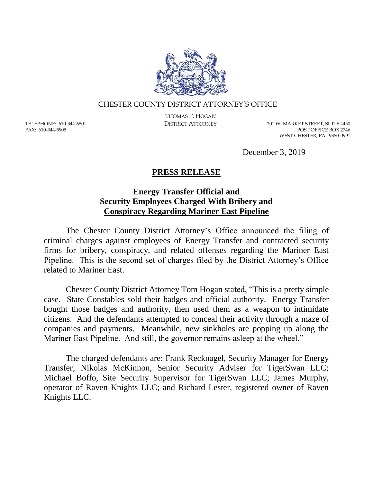

## CHESTER COUNTY DISTRICT ATTORNEY'S OFFICE

TELEPHONE: 610-344-6801 FAX: 610-344-5905

THOMAS P. HOGAN

DISTRICT ATTORNEY 201 W. MARKET STREET, SUITE 4450 POST OFFICE BOX 2746 WEST CHESTER, PA 19380-0991

December 3, 2019

## **PRESS RELEASE**

## **Energy Transfer Official and Security Employees Charged With Bribery and Conspiracy Regarding Mariner East Pipeline**

The Chester County District Attorney's Office announced the filing of criminal charges against employees of Energy Transfer and contracted security firms for bribery, conspiracy, and related offenses regarding the Mariner East Pipeline. This is the second set of charges filed by the District Attorney's Office related to Mariner East.

Chester County District Attorney Tom Hogan stated, "This is a pretty simple case. State Constables sold their badges and official authority. Energy Transfer bought those badges and authority, then used them as a weapon to intimidate citizens. And the defendants attempted to conceal their activity through a maze of companies and payments. Meanwhile, new sinkholes are popping up along the Mariner East Pipeline. And still, the governor remains asleep at the wheel."

The charged defendants are: Frank Recknagel, Security Manager for Energy Transfer; Nikolas McKinnon, Senior Security Adviser for TigerSwan LLC; Michael Boffo, Site Security Supervisor for TigerSwan LLC; James Murphy, operator of Raven Knights LLC; and Richard Lester, registered owner of Raven Knights LLC.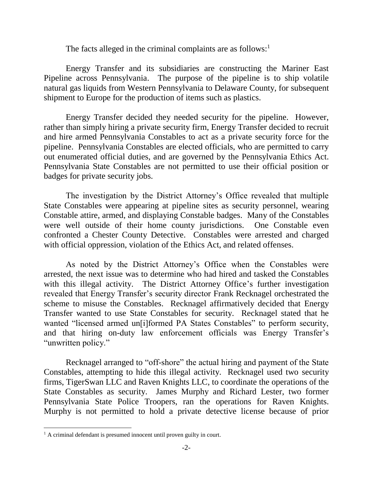The facts alleged in the criminal complaints are as follows: $<sup>1</sup>$ </sup>

Energy Transfer and its subsidiaries are constructing the Mariner East Pipeline across Pennsylvania. The purpose of the pipeline is to ship volatile natural gas liquids from Western Pennsylvania to Delaware County, for subsequent shipment to Europe for the production of items such as plastics.

Energy Transfer decided they needed security for the pipeline. However, rather than simply hiring a private security firm, Energy Transfer decided to recruit and hire armed Pennsylvania Constables to act as a private security force for the pipeline. Pennsylvania Constables are elected officials, who are permitted to carry out enumerated official duties, and are governed by the Pennsylvania Ethics Act. Pennsylvania State Constables are not permitted to use their official position or badges for private security jobs.

The investigation by the District Attorney's Office revealed that multiple State Constables were appearing at pipeline sites as security personnel, wearing Constable attire, armed, and displaying Constable badges. Many of the Constables were well outside of their home county jurisdictions. One Constable even confronted a Chester County Detective. Constables were arrested and charged with official oppression, violation of the Ethics Act, and related offenses.

As noted by the District Attorney's Office when the Constables were arrested, the next issue was to determine who had hired and tasked the Constables with this illegal activity. The District Attorney Office's further investigation revealed that Energy Transfer's security director Frank Recknagel orchestrated the scheme to misuse the Constables. Recknagel affirmatively decided that Energy Transfer wanted to use State Constables for security. Recknagel stated that he wanted "licensed armed un[i]formed PA States Constables" to perform security, and that hiring on-duty law enforcement officials was Energy Transfer's "unwritten policy."

Recknagel arranged to "off-shore" the actual hiring and payment of the State Constables, attempting to hide this illegal activity. Recknagel used two security firms, TigerSwan LLC and Raven Knights LLC, to coordinate the operations of the State Constables as security. James Murphy and Richard Lester, two former Pennsylvania State Police Troopers, ran the operations for Raven Knights. Murphy is not permitted to hold a private detective license because of prior

 $\overline{a}$ 

 $<sup>1</sup>$  A criminal defendant is presumed innocent until proven guilty in court.</sup>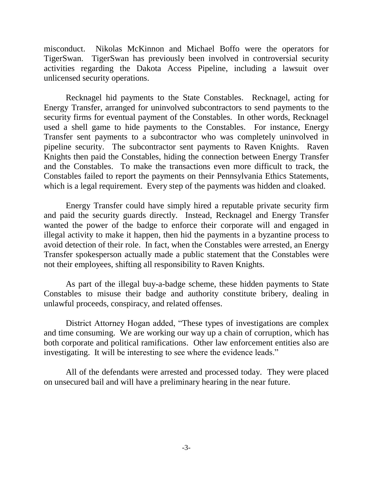misconduct. Nikolas McKinnon and Michael Boffo were the operators for TigerSwan. TigerSwan has previously been involved in controversial security activities regarding the Dakota Access Pipeline, including a lawsuit over unlicensed security operations.

Recknagel hid payments to the State Constables. Recknagel, acting for Energy Transfer, arranged for uninvolved subcontractors to send payments to the security firms for eventual payment of the Constables. In other words, Recknagel used a shell game to hide payments to the Constables. For instance, Energy Transfer sent payments to a subcontractor who was completely uninvolved in pipeline security. The subcontractor sent payments to Raven Knights. Raven Knights then paid the Constables, hiding the connection between Energy Transfer and the Constables. To make the transactions even more difficult to track, the Constables failed to report the payments on their Pennsylvania Ethics Statements, which is a legal requirement. Every step of the payments was hidden and cloaked.

Energy Transfer could have simply hired a reputable private security firm and paid the security guards directly. Instead, Recknagel and Energy Transfer wanted the power of the badge to enforce their corporate will and engaged in illegal activity to make it happen, then hid the payments in a byzantine process to avoid detection of their role. In fact, when the Constables were arrested, an Energy Transfer spokesperson actually made a public statement that the Constables were not their employees, shifting all responsibility to Raven Knights.

As part of the illegal buy-a-badge scheme, these hidden payments to State Constables to misuse their badge and authority constitute bribery, dealing in unlawful proceeds, conspiracy, and related offenses.

District Attorney Hogan added, "These types of investigations are complex and time consuming. We are working our way up a chain of corruption, which has both corporate and political ramifications. Other law enforcement entities also are investigating. It will be interesting to see where the evidence leads."

All of the defendants were arrested and processed today. They were placed on unsecured bail and will have a preliminary hearing in the near future.